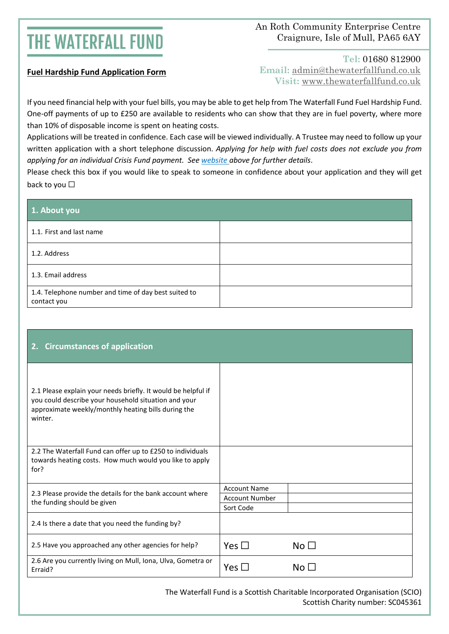## **THE WATERFALL FUND**

### An Roth Community Enterprise Centre Craignure, Isle of Mull, PA65 6AY

#### **Fuel Hardship Fund Application Form**

**Tel:** 01680 812900 **Email:** [admin@thewaterfallfund.co.uk](mailto:admin@thewaterfallfund.co.uk) **Visit:** [www.thewaterfallfund.co.uk](http://www.thewaterfallfund.co.uk/)

If you need financial help with your fuel bills, you may be able to get help from The Waterfall Fund Fuel Hardship Fund. One-off payments of up to £250 are available to residents who can show that they are in fuel poverty, where more than 10% of disposable income is spent on heating costs.

Applications will be treated in confidence. Each case will be viewed individually. A Trustee may need to follow up your written application with a short telephone discussion. *Applying for help with fuel costs does not exclude you from applying for an individual Crisis Fund payment. See [website](https://www.thewaterfallfund.co.uk/funds/crisis-fund/) above for further details*.

Please check this box if you would like to speak to someone in confidence about your application and they will get back to you □

| 1. About you                                                        |  |
|---------------------------------------------------------------------|--|
| 1.1. First and last name                                            |  |
| 1.2. Address                                                        |  |
| 1.3. Email address                                                  |  |
| 1.4. Telephone number and time of day best suited to<br>contact you |  |

| <b>Circumstances of application</b><br>2.                                                                                                                                               |                     |                                |
|-----------------------------------------------------------------------------------------------------------------------------------------------------------------------------------------|---------------------|--------------------------------|
| 2.1 Please explain your needs briefly. It would be helpful if<br>you could describe your household situation and your<br>approximate weekly/monthly heating bills during the<br>winter. |                     |                                |
| 2.2 The Waterfall Fund can offer up to £250 to individuals<br>towards heating costs. How much would you like to apply<br>for?                                                           |                     |                                |
| 2.3 Please provide the details for the bank account where<br>the funding should be given                                                                                                | <b>Account Name</b> |                                |
|                                                                                                                                                                                         | Account Number      |                                |
|                                                                                                                                                                                         | Sort Code           |                                |
| 2.4 Is there a date that you need the funding by?                                                                                                                                       |                     |                                |
| 2.5 Have you approached any other agencies for help?                                                                                                                                    | Yes $\Box$          | No <sub>1</sub>                |
| 2.6 Are you currently living on Mull, Iona, Ulva, Gometra or<br>Erraid?                                                                                                                 | Yes $\square$       | $\mathsf{No} \mathrel{\sqcup}$ |

The Waterfall Fund is a Scottish Charitable Incorporated Organisation (SCIO) Scottish Charity number: SC045361